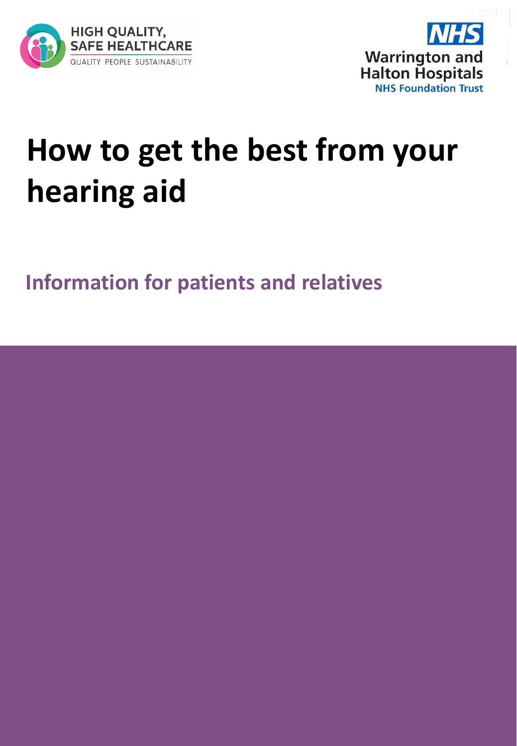



## **How to get the best from your hearing aid**

**Information for patients and relatives**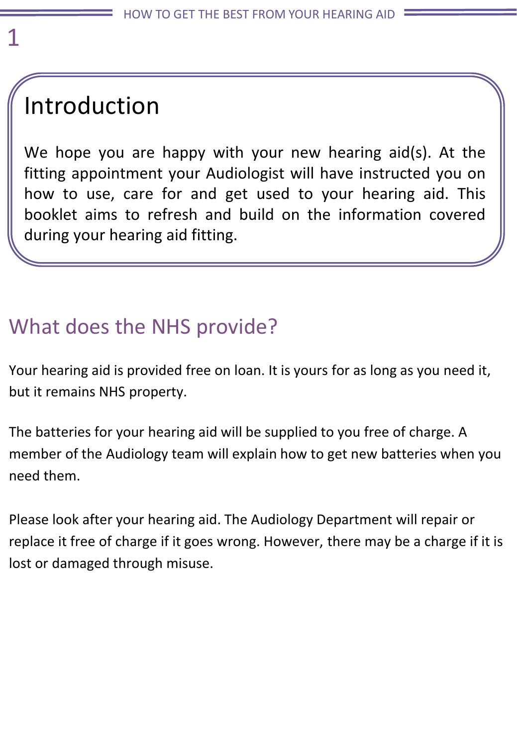## Introduction

We hope you are happy with your new hearing aid(s). At the fitting appointment your Audiologist will have instructed you on how to use, care for and get used to your hearing aid. This booklet aims to refresh and build on the information covered during your hearing aid fitting.

## What does the NHS provide?

Your hearing aid is provided free on loan. It is yours for as long as you need it, but it remains NHS property.

The batteries for your hearing aid will be supplied to you free of charge. A member of the Audiology team will explain how to get new batteries when you need them.

Please look after your hearing aid. The Audiology Department will repair or replace it free of charge if it goes wrong. However, there may be a charge if it is lost or damaged through misuse.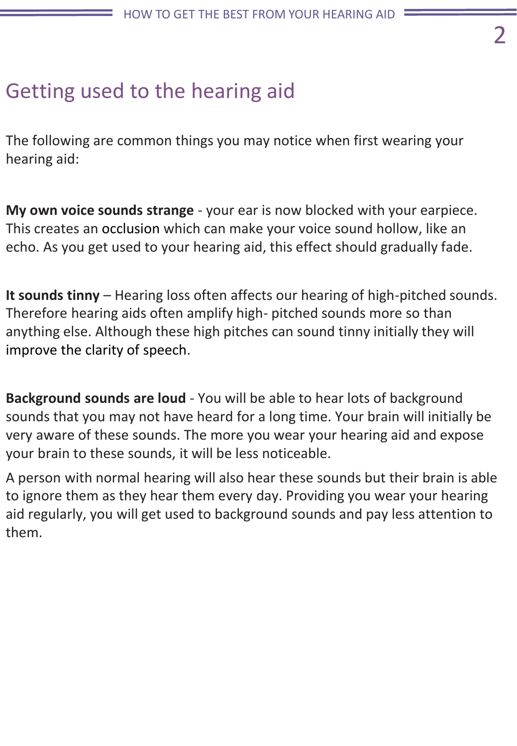### Getting used to the hearing aid

The following are common things you may notice when first wearing your hearing aid:

**My own voice sounds strange** - your ear is now blocked with your earpiece. This creates an occlusion which can make your voice sound hollow, like an echo. As you get used to your hearing aid, this effect should gradually fade.

**It sounds tinny** – Hearing loss often affects our hearing of high-pitched sounds. Therefore hearing aids often amplify high- pitched sounds more so than anything else. Although these high pitches can sound tinny initially they will improve the clarity of speech.

**Background sounds are loud** - You will be able to hear lots of background sounds that you may not have heard for a long time. Your brain will initially be very aware of these sounds. The more you wear your hearing aid and expose your brain to these sounds, it will be less noticeable.

A person with normal hearing will also hear these sounds but their brain is able to ignore them as they hear them every day. Providing you wear your hearing aid regularly, you will get used to background sounds and pay less attention to them.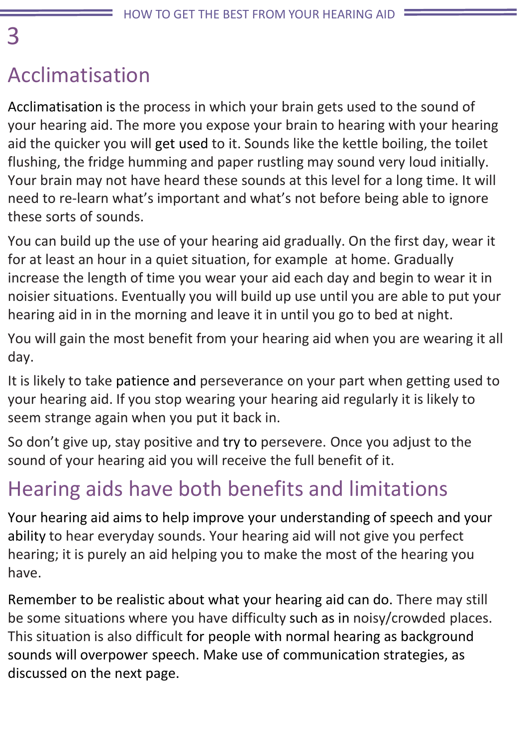## Acclimatisation

Acclimatisation is the process in which your brain gets used to the sound of your hearing aid. The more you expose your brain to hearing with your hearing aid the quicker you will get used to it. Sounds like the kettle boiling, the toilet flushing, the fridge humming and paper rustling may sound very loud initially. Your brain may not have heard these sounds at this level for a long time. It will need to re-learn what's important and what's not before being able to ignore these sorts of sounds.

You can build up the use of your hearing aid gradually. On the first day, wear it for at least an hour in a quiet situation, for example at home. Gradually increase the length of time you wear your aid each day and begin to wear it in noisier situations. Eventually you will build up use until you are able to put your hearing aid in in the morning and leave it in until you go to bed at night.

You will gain the most benefit from your hearing aid when you are wearing it all day.

It is likely to take patience and perseverance on your part when getting used to your hearing aid. If you stop wearing your hearing aid regularly it is likely to seem strange again when you put it back in.

So don't give up, stay positive and try to persevere. Once you adjust to the sound of your hearing aid you will receive the full benefit of it.

## Hearing aids have both benefits and limitations

Your hearing aid aims to help improve your understanding of speech and your ability to hear everyday sounds. Your hearing aid will not give you perfect hearing; it is purely an aid helping you to make the most of the hearing you have.

Remember to be realistic about what your hearing aid can do. There may still be some situations where you have difficulty such as in noisy/crowded places. This situation is also difficult for people with normal hearing as background sounds will overpower speech. Make use of communication strategies, as discussed on the next page.

#### 3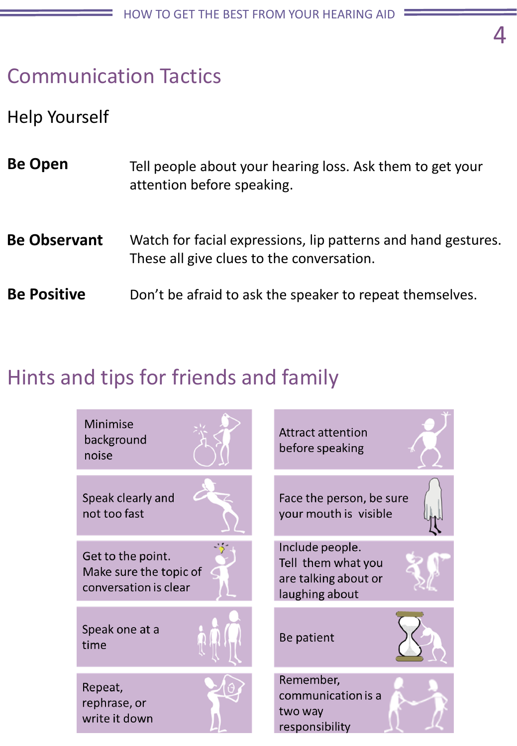### Communication Tactics

#### Help Yourself

| <b>Be Open</b> | Tell people about your hearing loss. Ask them to get your |
|----------------|-----------------------------------------------------------|
|                | attention before speaking.                                |
|                |                                                           |

- Watch for facial expressions, lip patterns and hand gestures. These all give clues to the conversation. **Be Observant**
- Don't be afraid to ask the speaker to repeat themselves. **Be Positive**

#### Hints and tips for friends and family

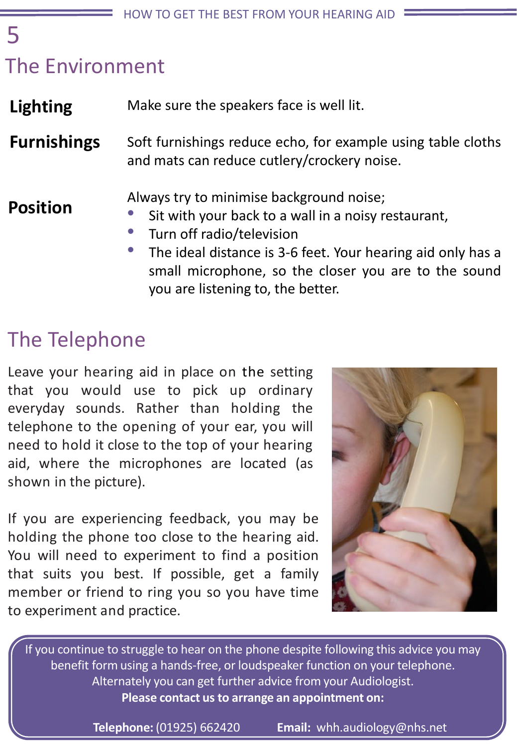## The Environment

Make sure the speakers face is well lit. **Lighting**

Soft furnishings reduce echo, for example using table cloths and mats can reduce cutlery/crockery noise. **Furnishings**

#### **Position**

5

- Always try to minimise background noise;
- Sit with your back to a wall in a noisy restaurant,
- Turn off radio/television
	- The ideal distance is 3-6 feet. Your hearing aid only has a small microphone, so the closer you are to the sound you are listening to, the better.

## The Telephone

Leave your hearing aid in place on the setting that you would use to pick up ordinary everyday sounds. Rather than holding the telephone to the opening of your ear, you will need to hold it close to the top of your hearing aid, where the microphones are located (as shown in the picture).

If you are experiencing feedback, you may be holding the phone too close to the hearing aid. You will need to experiment to find a position that suits you best. If possible, get a family member or friend to ring you so you have time to experiment and practice.



If you continue to struggle to hear on the phone despite following this advice you may benefit form using a hands-free, or loudspeaker function on your telephone. Alternately you can get further advice from your Audiologist. **Please contact us to arrange an appointment on:**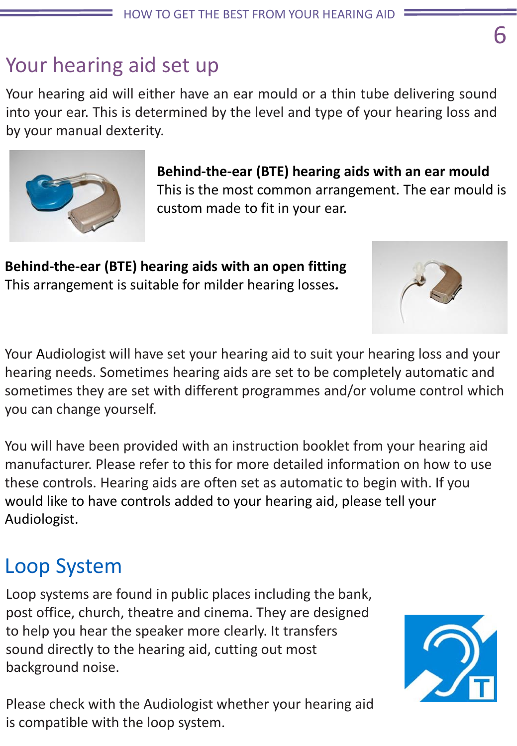### Your hearing aid set up

Your hearing aid will either have an ear mould or a thin tube delivering sound into your ear. This is determined by the level and type of your hearing loss and by your manual dexterity.

> **Behind-the-ear (BTE) hearing aids with an ear mould** This is the most common arrangement. The ear mould is custom made to fit in your ear.

**Behind-the-ear (BTE) hearing aids with an open fitting** This arrangement is suitable for milder hearing losses*.*

Your Audiologist will have set your hearing aid to suit your hearing loss and your hearing needs. Sometimes hearing aids are set to be completely automatic and sometimes they are set with different programmes and/or volume control which you can change yourself.

You will have been provided with an instruction booklet from your hearing aid manufacturer. Please refer to this for more detailed information on how to use these controls. Hearing aids are often set as automatic to begin with. If you would like to have controls added to your hearing aid, please tell your Audiologist.

## Loop System

Loop systems are found in public places including the bank, post office, church, theatre and cinema. They are designed to help you hear the speaker more clearly. It transfers sound directly to the hearing aid, cutting out most background noise.

Please check with the Audiologist whether your hearing aid is compatible with the loop system.





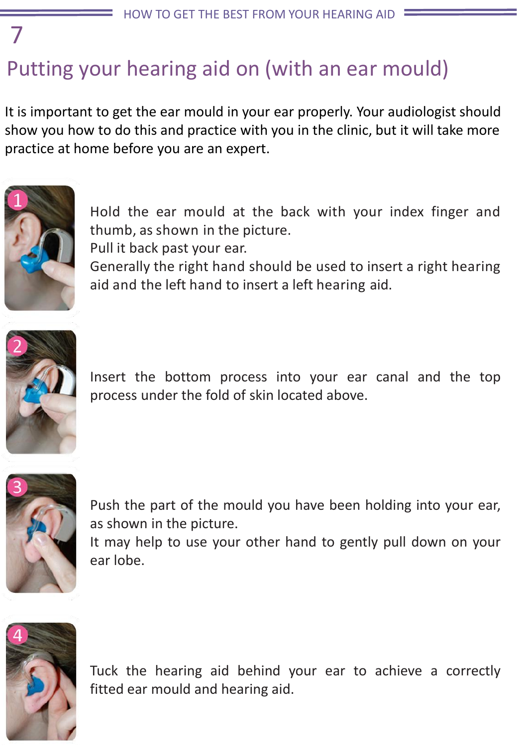## Putting your hearing aid on (with an ear mould)

It is important to get the ear mould in your ear properly. Your audiologist should show you how to do this and practice with you in the clinic, but it will take more practice at home before you are an expert.



7

Hold the ear mould at the back with your index finger and thumb, as shown in the picture.

Pull it back past your ear.

Generally the right hand should be used to insert a right hearing aid and the left hand to insert a left hearing aid.



Insert the bottom process into your ear canal and the top process under the fold of skin located above.



Push the part of the mould you have been holding into your ear, as shown in the picture.

It may help to use your other hand to gently pull down on your ear lobe.



Tuck the hearing aid behind your ear to achieve a correctly fitted ear mould and hearing aid.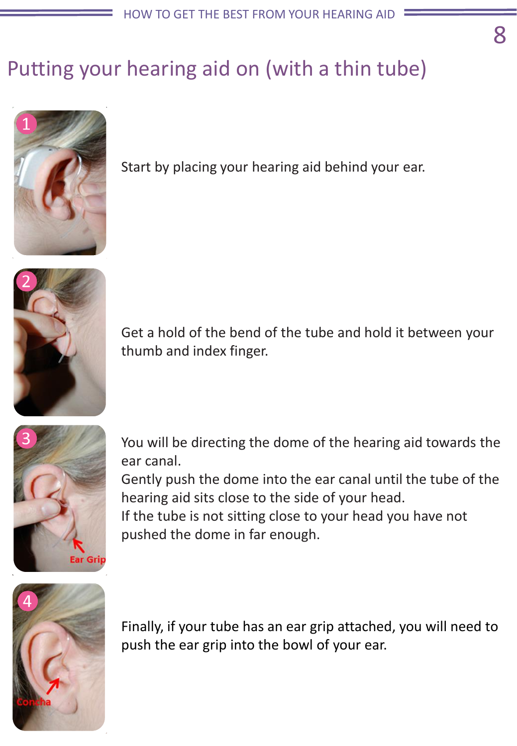## Putting your hearing aid on (with a thin tube)



Start by placing your hearing aid behind your ear.



Get a hold of the bend of the tube and hold it between your thumb and index finger.



You will be directing the dome of the hearing aid towards the ear canal.

Gently push the dome into the ear canal until the tube of the hearing aid sits close to the side of your head.

If the tube is not sitting close to your head you have not pushed the dome in far enough.



Finally, if your tube has an ear grip attached, you will need to push the ear grip into the bowl of your ear.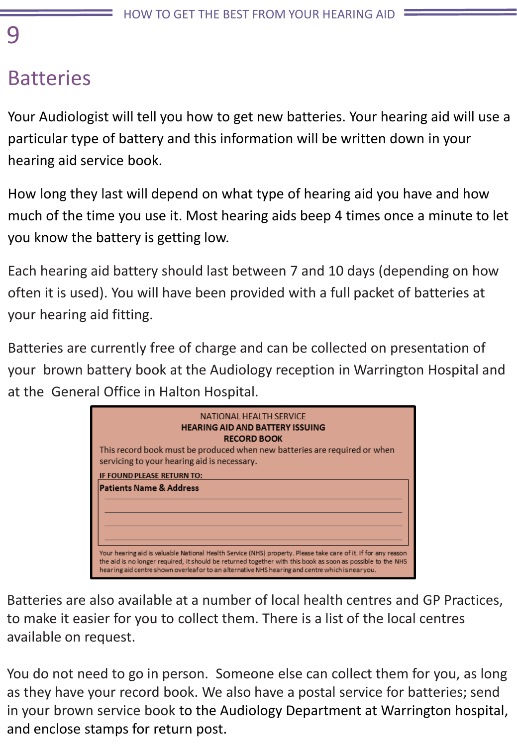#### 9

### Batteries

Your Audiologist will tell you how to get new batteries. Your hearing aid will use a particular type of battery and this information will be written down in your hearing aid service book.

How long they last will depend on what type of hearing aid you have and how much of the time you use it. Most hearing aids beep 4 times once a minute to let you know the battery is getting low.

Each hearing aid battery should last between 7 and 10 days (depending on how often it is used). You will have been provided with a full packet of batteries at your hearing aid fitting.

Batteries are currently free of charge and can be collected on presentation of your brown battery book at the Audiology reception in Warrington Hospital and at the General Office in Halton Hospital.

| NATIONAL HEALTH SERVICE<br><b>HEARING AID AND BATTERY ISSUING</b><br><b>RECORD BOOK</b><br>This record book must be produced when new batteries are required or when<br>servicing to your hearing aid is necessary.                                                                                                             |  |  |
|---------------------------------------------------------------------------------------------------------------------------------------------------------------------------------------------------------------------------------------------------------------------------------------------------------------------------------|--|--|
| <b>IF FOUND PLEASE RETURN TO:</b><br><b>Patients Name &amp; Address</b>                                                                                                                                                                                                                                                         |  |  |
| Your hearing aid is valuable National Health Service (NHS) property. Please take care of it. If for any reason<br>the aid is no longer required, it should be returned together with this book as soon as possible to the NHS<br>hearing aid centre shown overleafor to an alternative NHS hearing and centre which is nearyou. |  |  |

Batteries are also available at a number of local health centres and GP Practices, to make it easier for you to collect them. There is a list of the local centres available on request.

You do not need to go in person. Someone else can collect them for you, as long as they have your record book. We also have a postal service for batteries; send in your brown service book to the Audiology Department at Warrington hospital, and enclose stamps for return post.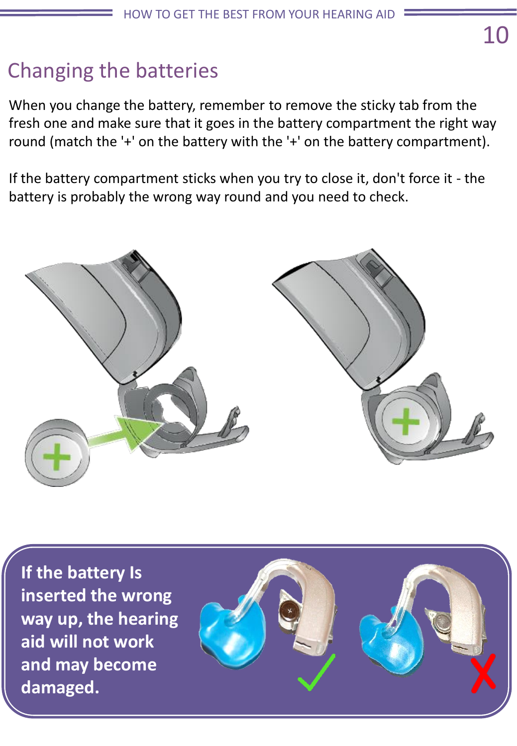## Changing the batteries

When you change the battery, remember to remove the sticky tab from the fresh one and make sure that it goes in the battery compartment the right way round (match the '+' on the battery with the '+' on the battery compartment).

If the battery compartment sticks when you try to close it, don't force it - the battery is probably the wrong way round and you need to check.



**If the battery Is inserted the wrong way up, the hearing aid will not work and may become damaged.**

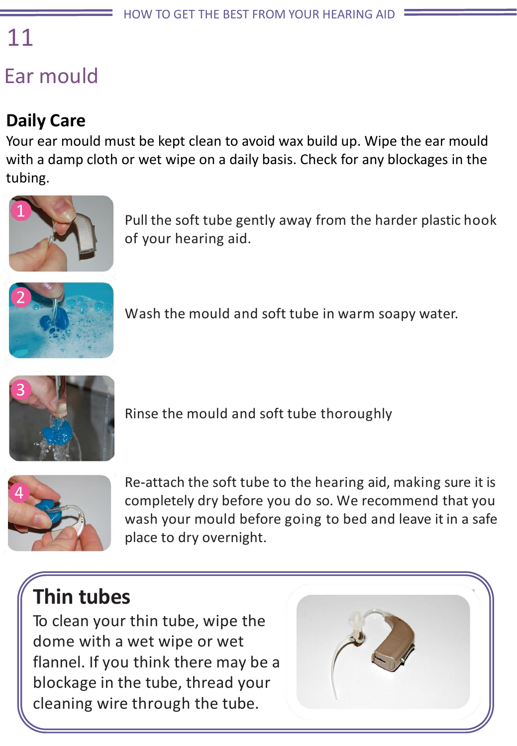# 11

## Ear mould

#### **Daily Care**

Your ear mould must be kept clean to avoid wax build up. Wipe the ear mould with a damp cloth or wet wipe on a daily basis. Check for any blockages in the tubing.



Pull the soft tube gently away from the harder plastic hook of your hearing aid.



Wash the mould and soft tube in warm soapy water.



Rinse the mould and soft tube thoroughly



Re-attach the soft tube to the hearing aid, making sure it is completely dry before you do so. We recommend that you wash your mould before going to bed and leave it in a safe place to dry overnight.

## **Thin tubes**

To clean your thin tube, wipe the dome with a wet wipe or wet flannel. If you think there may be a blockage in the tube, thread your cleaning wire through the tube.

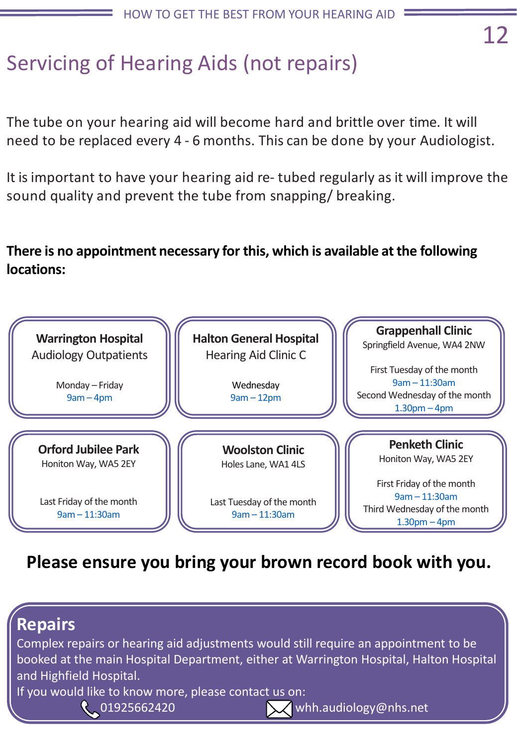## Servicing of Hearing Aids (not repairs)

The tube on your hearing aid will become hard and brittle over time. It will need to be replaced every 4 - 6 months. This can be done by your Audiologist.

It isimportant to have your hearing aid re- tubed regularly as it will improve the sound quality and prevent the tube from snapping/ breaking.

**There is no appointment necessary for this, which is available at the following locations:**



**Please ensure you bring your brown record book with you.**

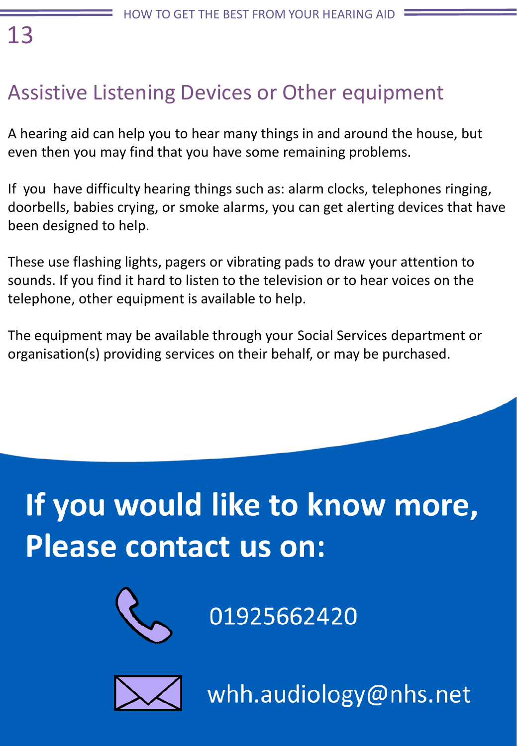## 13

## Assistive Listening Devices or Other equipment

A hearing aid can help you to hear many things in and around the house, but even then you may find that you have some remaining problems.

If you have difficulty hearing things such as: alarm clocks, telephones ringing, doorbells, babies crying, or smoke alarms, you can get alerting devices that have been designed to help.

These use flashing lights, pagers or vibrating pads to draw your attention to sounds. If you find it hard to listen to the television or to hear voices on the telephone, other equipment is available to help.

The equipment may be available through your Social Services department or organisation(s) providing services on their behalf, or may be purchased.

## If you would like to know more, **Please contact us on:**



01925662420



whh.audiology@nhs.net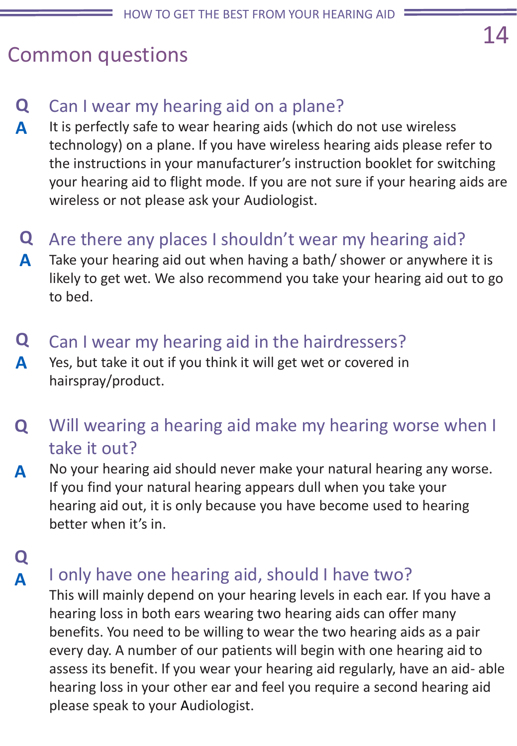#### Common questions

- Can I wear my hearing aid on a plane? **Q**
- It is perfectly safe to wear hearing aids (which do not use wireless technology) on a plane. If you have wireless hearing aids please refer to the instructions in your manufacturer's instruction booklet for switching your hearing aid to flight mode. If you are not sure if your hearing aids are wireless or not please ask your Audiologist. **A**
- Are there any places I shouldn't wear my hearing aid? **Q**
- Take your hearing aid out when having a bath/ shower or anywhere it is likely to get wet. We also recommend you take your hearing aid out to go to bed. **A**
- Can I wear my hearing aid in the hairdressers? **Q**
- Yes, but take it out if you think it will get wet or covered in hairspray/product. **A**
- Will wearing a hearing aid make my hearing worse when I take it out? **Q**
- No your hearing aid should never make your natural hearing any worse. If you find your natural hearing appears dull when you take your hearing aid out, it is only because you have become used to hearing better when it's in. **A**
- **Q A**

#### I only have one hearing aid, should I have two?

This will mainly depend on your hearing levels in each ear. If you have a hearing loss in both ears wearing two hearing aids can offer many benefits. You need to be willing to wear the two hearing aids as a pair every day. A number of our patients will begin with one hearing aid to assess its benefit. If you wear your hearing aid regularly, have an aid- able hearing loss in your other ear and feel you require a second hearing aid please speak to your Audiologist.